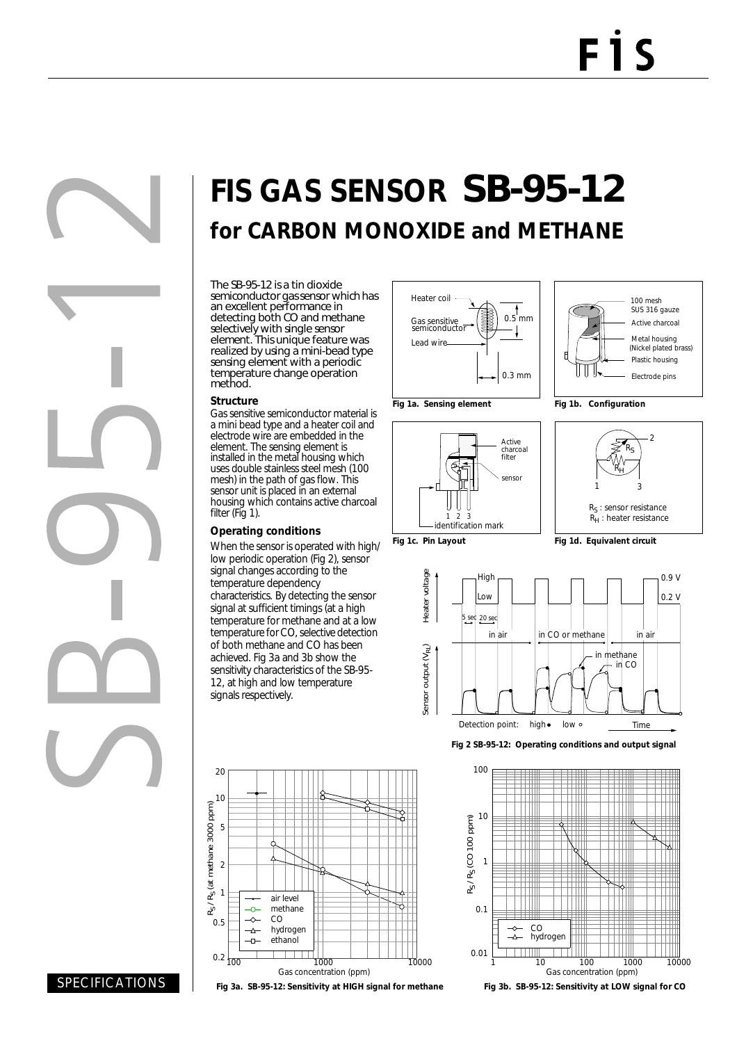# **FIS GAS SENSOR** SB-95-12 **for CARBON MONOXIDE and METHANE**

The SB-95-12 is a tin dioxide semiconductor gas sensor which has an excellent performance in detecting both CO and methane selectively with single sensor element. This unique feature was realized by using a mini-bead type sensing element with a periodic temperature change operation method.

#### **Structure**

Gas sensitive semiconductor material is a mini bead type and a heater coil and electrode wire are embedded in the element. The sensing element is installed in the metal housing which uses double stainless steel mesh (100 mesh) in the path of gas flow. This sensor unit is placed in an external housing which contains active charcoal filter (Fig 1).

#### **Operating conditions**

When the sensor is operated with high/ low periodic operation (Fig 2), sensor signal changes according to the temperature dependency characteristics. By detecting the sensor signal at sufficient timings (at a high temperature for methane and at a low temperature for CO, selective detection of both methane and CO has been achieved. Fig 3a and 3b show the sensitivity characteristics of the SB-95- 12, at high and low temperature signals respectively.





SPECIFICATIONS



sensor

Active charcoal filter



**Fig 1b. Configuration**



**Fig 1c. Pin Layout**

123 identification mark

€ 'n U U

**Fig 1d. Equivalent circuit**



**Fig 2 SB-95-12: Operating conditions and output signal** 



**Fig 3b. SB-95-12: Sensitivity at LOW signal for CO**